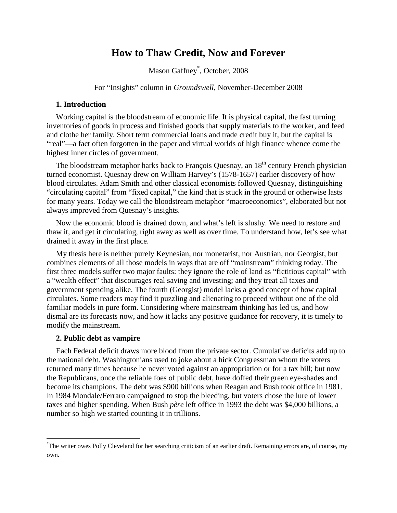# **How to Thaw Credit, Now and Forever**

Mason Gaffney[\\*](#page-0-0) , October, 2008

For "Insights" column in *Groundswell*, November-December 2008

## **1. Introduction**

Working capital is the bloodstream of economic life. It is physical capital, the fast turning inventories of goods in process and finished goods that supply materials to the worker, and feed and clothe her family. Short term commercial loans and trade credit buy it, but the capital is "real"—a fact often forgotten in the paper and virtual worlds of high finance whence come the highest inner circles of government.

The bloodstream metaphor harks back to François Quesnay, an 18<sup>th</sup> century French physician turned economist. Quesnay drew on William Harvey's (1578-1657) earlier discovery of how blood circulates. Adam Smith and other classical economists followed Quesnay, distinguishing "circulating capital" from "fixed capital," the kind that is stuck in the ground or otherwise lasts for many years. Today we call the bloodstream metaphor "macroeconomics", elaborated but not always improved from Quesnay's insights.

Now the economic blood is drained down, and what's left is slushy. We need to restore and thaw it, and get it circulating, right away as well as over time. To understand how, let's see what drained it away in the first place.

My thesis here is neither purely Keynesian, nor monetarist, nor Austrian, nor Georgist, but combines elements of all those models in ways that are off "mainstream" thinking today. The first three models suffer two major faults: they ignore the role of land as "fictitious capital" with a "wealth effect" that discourages real saving and investing; and they treat all taxes and government spending alike. The fourth (Georgist) model lacks a good concept of how capital circulates. Some readers may find it puzzling and alienating to proceed without one of the old familiar models in pure form. Considering where mainstream thinking has led us, and how dismal are its forecasts now, and how it lacks any positive guidance for recovery, it is timely to modify the mainstream.

### **2. Public debt as vampire**

Each Federal deficit draws more blood from the private sector. Cumulative deficits add up to the national debt. Washingtonians used to joke about a hick Congressman whom the voters returned many times because he never voted against an appropriation or for a tax bill; but now the Republicans, once the reliable foes of public debt, have doffed their green eye-shades and become its champions. The debt was \$900 billions when Reagan and Bush took office in 1981. In 1984 Mondale/Ferraro campaigned to stop the bleeding, but voters chose the lure of lower taxes and higher spending. When Bush *père* left office in 1993 the debt was \$4,000 billions, a number so high we started counting it in trillions.

<span id="page-0-0"></span><sup>\*</sup> The writer owes Polly Cleveland for her searching criticism of an earlier draft. Remaining errors are, of course, my own.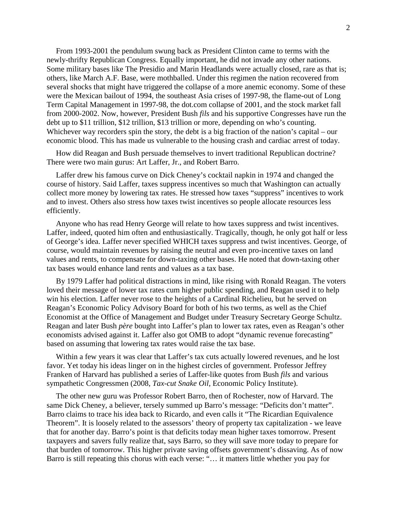From 1993-2001 the pendulum swung back as President Clinton came to terms with the newly-thrifty Republican Congress. Equally important, he did not invade any other nations. Some military bases like The Presidio and Marin Headlands were actually closed, rare as that is; others, like March A.F. Base, were mothballed. Under this regimen the nation recovered from several shocks that might have triggered the collapse of a more anemic economy. Some of these were the Mexican bailout of 1994, the southeast Asia crises of 1997-98, the flame-out of Long Term Capital Management in 1997-98, the dot.com collapse of 2001, and the stock market fall from 2000-2002. Now, however, President Bush *fils* and his supportive Congresses have run the debt up to \$11 trillion, \$12 trillion, \$13 trillion or more, depending on who's counting. Whichever way recorders spin the story, the debt is a big fraction of the nation's capital – our economic blood. This has made us vulnerable to the housing crash and cardiac arrest of today.

How did Reagan and Bush persuade themselves to invert traditional Republican doctrine? There were two main gurus: Art Laffer, Jr., and Robert Barro.

Laffer drew his famous curve on Dick Cheney's cocktail napkin in 1974 and changed the course of history. Said Laffer, taxes suppress incentives so much that Washington can actually collect more money by lowering tax rates. He stressed how taxes "suppress" incentives to work and to invest. Others also stress how taxes twist incentives so people allocate resources less efficiently.

Anyone who has read Henry George will relate to how taxes suppress and twist incentives. Laffer, indeed, quoted him often and enthusiastically. Tragically, though, he only got half or less of George's idea. Laffer never specified WHICH taxes suppress and twist incentives. George, of course, would maintain revenues by raising the neutral and even pro-incentive taxes on land values and rents, to compensate for down-taxing other bases. He noted that down-taxing other tax bases would enhance land rents and values as a tax base.

By 1979 Laffer had political distractions in mind, like rising with Ronald Reagan. The voters loved their message of lower tax rates cum higher public spending, and Reagan used it to help win his election. Laffer never rose to the heights of a Cardinal Richelieu, but he served on Reagan's Economic Policy Advisory Board for both of his two terms, as well as the Chief Economist at the Office of Management and Budget under Treasury Secretary George Schultz. Reagan and later Bush *père* bought into Laffer's plan to lower tax rates, even as Reagan's other economists advised against it. Laffer also got OMB to adopt "dynamic revenue forecasting" based on assuming that lowering tax rates would raise the tax base.

Within a few years it was clear that Laffer's tax cuts actually lowered revenues, and he lost favor. Yet today his ideas linger on in the highest circles of government. Professor Jeffrey Franken of Harvard has published a series of Laffer-like quotes from Bush *fils* and various sympathetic Congressmen (2008, *Tax-cut Snake Oil*, Economic Policy Institute).

The other new guru was Professor Robert Barro, then of Rochester, now of Harvard. The same Dick Cheney, a believer, tersely summed up Barro's message: "Deficits don't matter". Barro claims to trace his idea back to Ricardo, and even calls it "The Ricardian Equivalence Theorem". It is loosely related to the assessors' theory of property tax capitalization - we leave that for another day. Barro's point is that deficits today mean higher taxes tomorrow. Present taxpayers and savers fully realize that, says Barro, so they will save more today to prepare for that burden of tomorrow. This higher private saving offsets government's dissaving. As of now Barro is still repeating this chorus with each verse: "… it matters little whether you pay for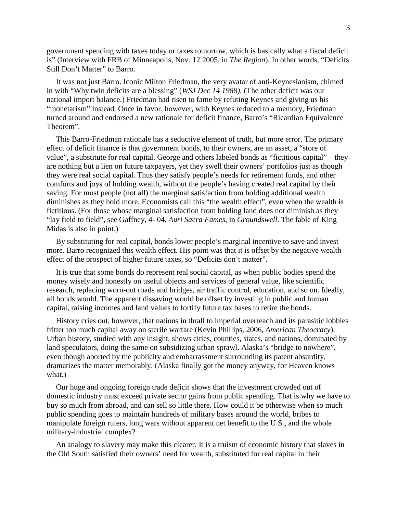government spending with taxes today or taxes tomorrow, which is basically what a fiscal deficit is" (Interview with FRB of Minneapolis, Nov. 12 2005, in *The Region*). In other words, "Deficits Still Don't Matter" to Barro.

It was not just Barro. Iconic Milton Friedman, the very avatar of anti-Keynesianism, chimed in with "Why twin deficits are a blessing" (*WSJ Dec 14 1988)*. (The other deficit was our national import balance.) Friedman had risen to fame by refuting Keynes and giving us his "monetarism" instead. Once in favor, however, with Keynes reduced to a memory, Friedman turned around and endorsed a new rationale for deficit finance, Barro's "Ricardian Equivalence Theorem".

This Barro-Friedman rationale has a seductive element of truth, but more error. The primary effect of deficit finance is that government bonds, to their owners, are an asset, a "store of value", a substitute for real capital. George and others labeled bonds as "fictitious capital" – they are nothing but a lien on future taxpayers, yet they swell their owners' portfolios just as though they were real social capital. Thus they satisfy people's needs for retirement funds, and other comforts and joys of holding wealth, without the people's having created real capital by their saving. For most people (not all) the marginal satisfaction from holding additional wealth diminishes as they hold more. Economists call this "the wealth effect", even when the wealth is fictitious. (For those whose marginal satisfaction from holding land does not diminish as they "lay field to field", see Gaffney, 4- 04, *Auri Sacra Fames*, in *Groundswell*. The fable of King Midas is also in point.)

By substituting for real capital, bonds lower people's marginal incentive to save and invest more. Barro recognized this wealth effect. His point was that it is offset by the negative wealth effect of the prospect of higher future taxes, so "Deficits don't matter".

It is true that some bonds do represent real social capital, as when public bodies spend the money wisely and honestly on useful objects and services of general value, like scientific research, replacing worn-out roads and bridges, air traffic control, education, and so on. Ideally, all bonds would. The apparent dissaving would be offset by investing in public and human capital, raising incomes and land values to fortify future tax bases to retire the bonds.

History cries out, however, that nations in thrall to imperial overreach and its parasitic lobbies fritter too much capital away on sterile warfare (Kevin Phillips, 2006, *American Theocracy*). Urban history, studied with any insight, shows cities, counties, states, and nations, dominated by land speculators, doing the same on subsidizing urban sprawl. Alaska's "bridge to nowhere", even though aborted by the publicity and embarrassment surrounding its patent absurdity, dramatizes the matter memorably. (Alaska finally got the money anyway, for Heaven knows what.)

Our huge and ongoing foreign trade deficit shows that the investment crowded out of domestic industry must exceed private sector gains from public spending. That is why we have to buy so much from abroad, and can sell so little there. How could it be otherwise when so much public spending goes to maintain hundreds of military bases around the world, bribes to manipulate foreign rulers, long wars without apparent net benefit to the U.S., and the whole military-industrial complex?

An analogy to slavery may make this clearer. It is a truism of economic history that slaves in the Old South satisfied their owners' need for wealth, substituted for real capital in their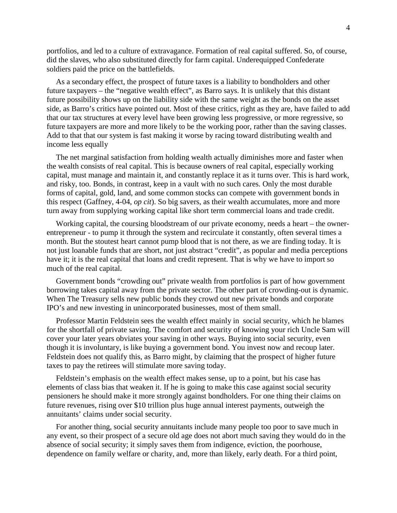portfolios, and led to a culture of extravagance. Formation of real capital suffered. So, of course, did the slaves, who also substituted directly for farm capital. Underequipped Confederate soldiers paid the price on the battlefields.

As a secondary effect, the prospect of future taxes is a liability to bondholders and other future taxpayers – the "negative wealth effect", as Barro says. It is unlikely that this distant future possibility shows up on the liability side with the same weight as the bonds on the asset side, as Barro's critics have pointed out. Most of these critics, right as they are, have failed to add that our tax structures at every level have been growing less progressive, or more regressive, so future taxpayers are more and more likely to be the working poor, rather than the saving classes. Add to that that our system is fast making it worse by racing toward distributing wealth and income less equally

The net marginal satisfaction from holding wealth actually diminishes more and faster when the wealth consists of real capital. This is because owners of real capital, especially working capital, must manage and maintain it, and constantly replace it as it turns over. This is hard work, and risky, too. Bonds, in contrast, keep in a vault with no such cares. Only the most durable forms of capital, gold, land, and some common stocks can compete with government bonds in this respect (Gaffney, 4-04, *op cit*). So big savers, as their wealth accumulates, more and more turn away from supplying working capital like short term commercial loans and trade credit.

Working capital, the coursing bloodstream of our private economy, needs a heart – the ownerentrepreneur - to pump it through the system and recirculate it constantly, often several times a month. But the stoutest heart cannot pump blood that is not there, as we are finding today. It is not just loanable funds that are short, not just abstract "credit", as popular and media perceptions have it; it is the real capital that loans and credit represent. That is why we have to import so much of the real capital.

Government bonds "crowding out" private wealth from portfolios is part of how government borrowing takes capital away from the private sector. The other part of crowding-out is dynamic. When The Treasury sells new public bonds they crowd out new private bonds and corporate IPO's and new investing in unincorporated businesses, most of them small.

Professor Martin Feldstein sees the wealth effect mainly in social security, which he blames for the shortfall of private saving. The comfort and security of knowing your rich Uncle Sam will cover your later years obviates your saving in other ways. Buying into social security, even though it is involuntary, is like buying a government bond. You invest now and recoup later. Feldstein does not qualify this, as Barro might, by claiming that the prospect of higher future taxes to pay the retirees will stimulate more saving today.

Feldstein's emphasis on the wealth effect makes sense, up to a point, but his case has elements of class bias that weaken it. If he is going to make this case against social security pensioners he should make it more strongly against bondholders. For one thing their claims on future revenues, rising over \$10 trillion plus huge annual interest payments, outweigh the annuitants' claims under social security.

For another thing, social security annuitants include many people too poor to save much in any event, so their prospect of a secure old age does not abort much saving they would do in the absence of social security; it simply saves them from indigence, eviction, the poorhouse, dependence on family welfare or charity, and, more than likely, early death. For a third point,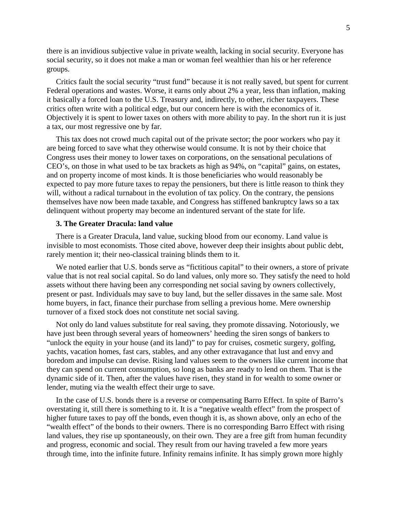there is an invidious subjective value in private wealth, lacking in social security. Everyone has social security, so it does not make a man or woman feel wealthier than his or her reference groups.

Critics fault the social security "trust fund" because it is not really saved, but spent for current Federal operations and wastes. Worse, it earns only about 2% a year, less than inflation, making it basically a forced loan to the U.S. Treasury and, indirectly, to other, richer taxpayers. These critics often write with a political edge, but our concern here is with the economics of it. Objectively it is spent to lower taxes on others with more ability to pay. In the short run it is just a tax, our most regressive one by far.

This tax does not crowd much capital out of the private sector; the poor workers who pay it are being forced to save what they otherwise would consume. It is not by their choice that Congress uses their money to lower taxes on corporations, on the sensational peculations of CEO's, on those in what used to be tax brackets as high as 94%, on "capital" gains, on estates, and on property income of most kinds. It is those beneficiaries who would reasonably be expected to pay more future taxes to repay the pensioners, but there is little reason to think they will, without a radical turnabout in the evolution of tax policy. On the contrary, the pensions themselves have now been made taxable, and Congress has stiffened bankruptcy laws so a tax delinquent without property may become an indentured servant of the state for life.

## **3. The Greater Dracula: land value**

There is a Greater Dracula, land value, sucking blood from our economy. Land value is invisible to most economists. Those cited above, however deep their insights about public debt, rarely mention it; their neo-classical training blinds them to it.

We noted earlier that U.S. bonds serve as "fictitious capital" to their owners, a store of private value that is not real social capital. So do land values, only more so. They satisfy the need to hold assets without there having been any corresponding net social saving by owners collectively, present or past. Individuals may save to buy land, but the seller dissaves in the same sale. Most home buyers, in fact, finance their purchase from selling a previous home. Mere ownership turnover of a fixed stock does not constitute net social saving.

Not only do land values substitute for real saving, they promote dissaving. Notoriously, we have just been through several years of homeowners' heeding the siren songs of bankers to "unlock the equity in your house (and its land)" to pay for cruises, cosmetic surgery, golfing, yachts, vacation homes, fast cars, stables, and any other extravagance that lust and envy and boredom and impulse can devise. Rising land values seem to the owners like current income that they can spend on current consumption, so long as banks are ready to lend on them. That is the dynamic side of it. Then, after the values have risen, they stand in for wealth to some owner or lender, muting via the wealth effect their urge to save.

In the case of U.S. bonds there is a reverse or compensating Barro Effect. In spite of Barro's overstating it, still there is something to it. It is a "negative wealth effect" from the prospect of higher future taxes to pay off the bonds, even though it is, as shown above, only an echo of the "wealth effect" of the bonds to their owners. There is no corresponding Barro Effect with rising land values, they rise up spontaneously, on their own. They are a free gift from human fecundity and progress, economic and social. They result from our having traveled a few more years through time, into the infinite future. Infinity remains infinite. It has simply grown more highly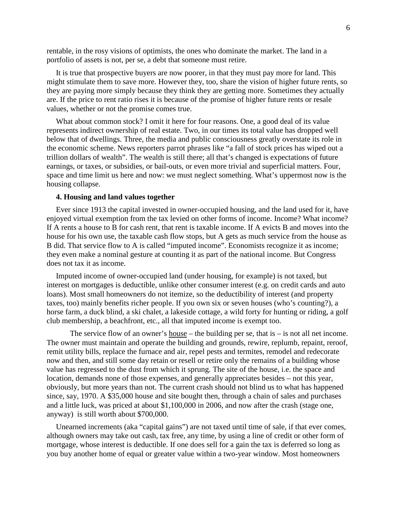rentable, in the rosy visions of optimists, the ones who dominate the market. The land in a portfolio of assets is not, per se, a debt that someone must retire.

It is true that prospective buyers are now poorer, in that they must pay more for land. This might stimulate them to save more. However they, too, share the vision of higher future rents, so they are paying more simply because they think they are getting more. Sometimes they actually are. If the price to rent ratio rises it is because of the promise of higher future rents or resale values, whether or not the promise comes true.

What about common stock? I omit it here for four reasons. One, a good deal of its value represents indirect ownership of real estate. Two, in our times its total value has dropped well below that of dwellings. Three, the media and public consciousness greatly overstate its role in the economic scheme. News reporters parrot phrases like "a fall of stock prices has wiped out a trillion dollars of wealth". The wealth is still there; all that's changed is expectations of future earnings, or taxes, or subsidies, or bail-outs, or even more trivial and superficial matters. Four, space and time limit us here and now: we must neglect something. What's uppermost now is the housing collapse.

## **4. Housing and land values together**

Ever since 1913 the capital invested in owner-occupied housing, and the land used for it, have enjoyed virtual exemption from the tax levied on other forms of income. Income? What income? If A rents a house to B for cash rent, that rent is taxable income. If A evicts B and moves into the house for his own use, the taxable cash flow stops, but A gets as much service from the house as B did. That service flow to A is called "imputed income". Economists recognize it as income; they even make a nominal gesture at counting it as part of the national income. But Congress does not tax it as income.

Imputed income of owner-occupied land (under housing, for example) is not taxed, but interest on mortgages is deductible, unlike other consumer interest (e.g. on credit cards and auto loans). Most small homeowners do not itemize, so the deductibility of interest (and property taxes, too) mainly benefits richer people. If you own six or seven houses (who's counting?), a horse farm, a duck blind, a ski chalet, a lakeside cottage, a wild forty for hunting or riding, a golf club membership, a beachfront, etc., all that imputed income is exempt too.

The service flow of an owner's <u>house</u> – the building per se, that is – is not all net income. The owner must maintain and operate the building and grounds, rewire, replumb, repaint, reroof, remit utility bills, replace the furnace and air, repel pests and termites, remodel and redecorate now and then, and still some day retain or resell or retire only the remains of a building whose value has regressed to the dust from which it sprung. The site of the house, i.e. the space and location, demands none of those expenses, and generally appreciates besides – not this year, obviously, but more years than not. The current crash should not blind us to what has happened since, say, 1970. A \$35,000 house and site bought then, through a chain of sales and purchases and a little luck, was priced at about \$1,100,000 in 2006, and now after the crash (stage one, anyway) is still worth about \$700,000.

Unearned increments (aka "capital gains") are not taxed until time of sale, if that ever comes, although owners may take out cash, tax free, any time, by using a line of credit or other form of mortgage, whose interest is deductible. If one does sell for a gain the tax is deferred so long as you buy another home of equal or greater value within a two-year window. Most homeowners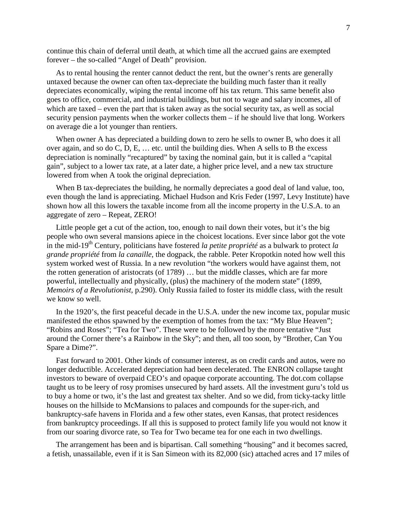continue this chain of deferral until death, at which time all the accrued gains are exempted forever – the so-called "Angel of Death" provision.

As to rental housing the renter cannot deduct the rent, but the owner's rents are generally untaxed because the owner can often tax-depreciate the building much faster than it really depreciates economically, wiping the rental income off his tax return. This same benefit also goes to office, commercial, and industrial buildings, but not to wage and salary incomes, all of which are taxed – even the part that is taken away as the social security tax, as well as social security pension payments when the worker collects them – if he should live that long. Workers on average die a lot younger than rentiers.

When owner A has depreciated a building down to zero he sells to owner B, who does it all over again, and so do C, D, E,  $\dots$  etc. until the building dies. When A sells to B the excess depreciation is nominally "recaptured" by taxing the nominal gain, but it is called a "capital gain", subject to a lower tax rate, at a later date, a higher price level, and a new tax structure lowered from when A took the original depreciation.

When B tax-depreciates the building, he normally depreciates a good deal of land value, too, even though the land is appreciating. Michael Hudson and Kris Feder (1997, Levy Institute) have shown how all this lowers the taxable income from all the income property in the U.S.A. to an aggregate of zero – Repeat, ZERO!

Little people get a cut of the action, too, enough to nail down their votes, but it's the big people who own several mansions apiece in the choicest locations. Ever since labor got the vote in the mid-19<sup>th</sup> Century, politicians have fostered *la petite propriété* as a bulwark to protect *la grande propriété* from *la canaille*, the dogpack, the rabble. Peter Kropotkin noted how well this system worked west of Russia. In a new revolution "the workers would have against them, not the rotten generation of aristocrats (of 1789) … but the middle classes, which are far more powerful, intellectually and physically, (plus) the machinery of the modern state" (1899, *Memoirs of a Revolutionist*, p.290). Only Russia failed to foster its middle class, with the result we know so well.

In the 1920's, the first peaceful decade in the U.S.A. under the new income tax, popular music manifested the ethos spawned by the exemption of homes from the tax: "My Blue Heaven"; "Robins and Roses"; "Tea for Two". These were to be followed by the more tentative "Just around the Corner there's a Rainbow in the Sky"; and then, all too soon, by "Brother, Can You Spare a Dime?".

Fast forward to 2001. Other kinds of consumer interest, as on credit cards and autos, were no longer deductible. Accelerated depreciation had been decelerated. The ENRON collapse taught investors to beware of overpaid CEO's and opaque corporate accounting. The dot.com collapse taught us to be leery of rosy promises unsecured by hard assets. All the investment guru's told us to buy a home or two, it's the last and greatest tax shelter. And so we did, from ticky-tacky little houses on the hillside to McMansions to palaces and compounds for the super-rich, and bankruptcy-safe havens in Florida and a few other states, even Kansas, that protect residences from bankruptcy proceedings. If all this is supposed to protect family life you would not know it from our soaring divorce rate, so Tea for Two became tea for one each in two dwellings.

The arrangement has been and is bipartisan. Call something "housing" and it becomes sacred, a fetish, unassailable, even if it is San Simeon with its 82,000 (sic) attached acres and 17 miles of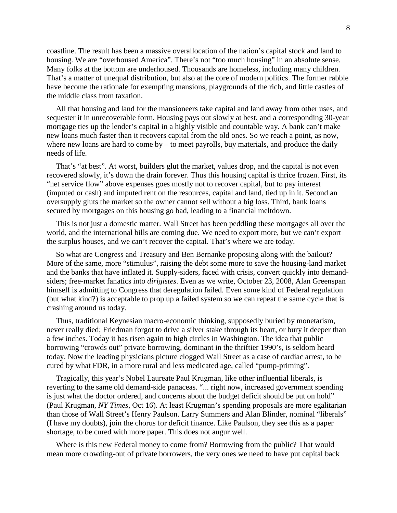coastline. The result has been a massive overallocation of the nation's capital stock and land to housing. We are "overhoused America". There's not "too much housing" in an absolute sense. Many folks at the bottom are underhoused. Thousands are homeless, including many children. That's a matter of unequal distribution, but also at the core of modern politics. The former rabble have become the rationale for exempting mansions, playgrounds of the rich, and little castles of the middle class from taxation.

All that housing and land for the mansioneers take capital and land away from other uses, and sequester it in unrecoverable form. Housing pays out slowly at best, and a corresponding 30-year mortgage ties up the lender's capital in a highly visible and countable way. A bank can't make new loans much faster than it recovers capital from the old ones. So we reach a point, as now, where new loans are hard to come  $by - to$  meet payrolls, buy materials, and produce the daily needs of life.

That's "at best". At worst, builders glut the market, values drop, and the capital is not even recovered slowly, it's down the drain forever. Thus this housing capital is thrice frozen. First, its "net service flow" above expenses goes mostly not to recover capital, but to pay interest (imputed or cash) and imputed rent on the resources, capital and land, tied up in it. Second an oversupply gluts the market so the owner cannot sell without a big loss. Third, bank loans secured by mortgages on this housing go bad, leading to a financial meltdown.

This is not just a domestic matter. Wall Street has been peddling these mortgages all over the world, and the international bills are coming due. We need to export more, but we can't export the surplus houses, and we can't recover the capital. That's where we are today.

So what are Congress and Treasury and Ben Bernanke proposing along with the bailout? More of the same, more "stimulus", raising the debt some more to save the housing-land market and the banks that have inflated it. Supply-siders, faced with crisis, convert quickly into demandsiders; free-market fanatics into *dirigistes*. Even as we write, October 23, 2008, Alan Greenspan himself is admitting to Congress that deregulation failed. Even some kind of Federal regulation (but what kind?) is acceptable to prop up a failed system so we can repeat the same cycle that is crashing around us today.

Thus, traditional Keynesian macro-economic thinking, supposedly buried by monetarism, never really died; Friedman forgot to drive a silver stake through its heart, or bury it deeper than a few inches. Today it has risen again to high circles in Washington. The idea that public borrowing "crowds out" private borrowing, dominant in the thriftier 1990's, is seldom heard today. Now the leading physicians picture clogged Wall Street as a case of cardiac arrest, to be cured by what FDR, in a more rural and less medicated age, called "pump-priming".

Tragically, this year's Nobel Laureate Paul Krugman, like other influential liberals, is reverting to the same old demand-side panaceas. "... right now, increased government spending is just what the doctor ordered, and concerns about the budget deficit should be put on hold" (Paul Krugman, *NY Times*, Oct 16). At least Krugman's spending proposals are more egalitarian than those of Wall Street's Henry Paulson. Larry Summers and Alan Blinder, nominal "liberals" (I have my doubts), join the chorus for deficit finance. Like Paulson, they see this as a paper shortage, to be cured with more paper. This does not augur well.

Where is this new Federal money to come from? Borrowing from the public? That would mean more crowding-out of private borrowers, the very ones we need to have put capital back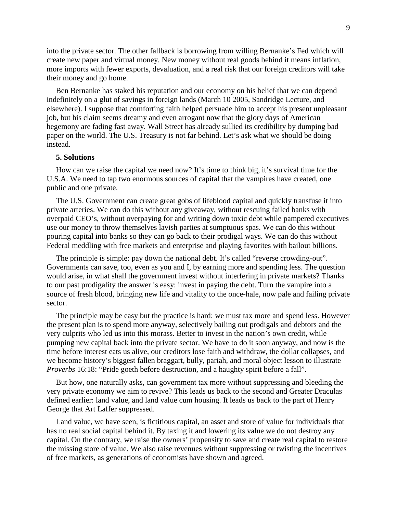into the private sector. The other fallback is borrowing from willing Bernanke's Fed which will create new paper and virtual money. New money without real goods behind it means inflation, more imports with fewer exports, devaluation, and a real risk that our foreign creditors will take their money and go home.

Ben Bernanke has staked his reputation and our economy on his belief that we can depend indefinitely on a glut of savings in foreign lands (March 10 2005, Sandridge Lecture, and elsewhere). I suppose that comforting faith helped persuade him to accept his present unpleasant job, but his claim seems dreamy and even arrogant now that the glory days of American hegemony are fading fast away. Wall Street has already sullied its credibility by dumping bad paper on the world. The U.S. Treasury is not far behind. Let's ask what we should be doing instead.

### **5. Solutions**

How can we raise the capital we need now? It's time to think big, it's survival time for the U.S.A. We need to tap two enormous sources of capital that the vampires have created, one public and one private.

The U.S. Government can create great gobs of lifeblood capital and quickly transfuse it into private arteries. We can do this without any giveaway, without rescuing failed banks with overpaid CEO's, without overpaying for and writing down toxic debt while pampered executives use our money to throw themselves lavish parties at sumptuous spas. We can do this without pouring capital into banks so they can go back to their prodigal ways. We can do this without Federal meddling with free markets and enterprise and playing favorites with bailout billions.

The principle is simple: pay down the national debt. It's called "reverse crowding-out". Governments can save, too, even as you and I, by earning more and spending less. The question would arise, in what shall the government invest without interfering in private markets? Thanks to our past prodigality the answer is easy: invest in paying the debt. Turn the vampire into a source of fresh blood, bringing new life and vitality to the once-hale, now pale and failing private sector.

The principle may be easy but the practice is hard: we must tax more and spend less. However the present plan is to spend more anyway, selectively bailing out prodigals and debtors and the very culprits who led us into this morass. Better to invest in the nation's own credit, while pumping new capital back into the private sector. We have to do it soon anyway, and now is the time before interest eats us alive, our creditors lose faith and withdraw, the dollar collapses, and we become history's biggest fallen braggart, bully, pariah, and moral object lesson to illustrate *Proverbs* 16:18: "Pride goeth before destruction, and a haughty spirit before a fall".

But how, one naturally asks, can government tax more without suppressing and bleeding the very private economy we aim to revive? This leads us back to the second and Greater Draculas defined earlier: land value, and land value cum housing. It leads us back to the part of Henry George that Art Laffer suppressed.

Land value, we have seen, is fictitious capital, an asset and store of value for individuals that has no real social capital behind it. By taxing it and lowering its value we do not destroy any capital. On the contrary, we raise the owners' propensity to save and create real capital to restore the missing store of value. We also raise revenues without suppressing or twisting the incentives of free markets, as generations of economists have shown and agreed.